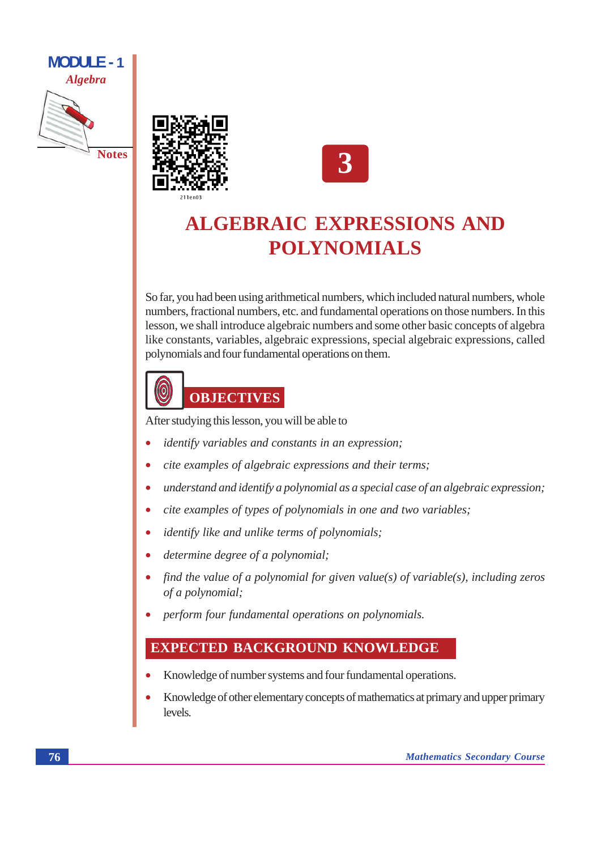





### **ALGEBRAIC EXPRESSIONS AND POLYNOMIALS**

So far, you had been using arithmetical numbers, which included natural numbers, whole numbers, fractional numbers, etc. and fundamental operations on those numbers. In this lesson, we shall introduce algebraic numbers and some other basic concepts of algebra like constants, variables, algebraic expressions, special algebraic expressions, called polynomials and four fundamental operations on them.



After studying this lesson, you will be able to

- *identify variables and constants in an expression;*  $\bullet$
- cite examples of algebraic expressions and their terms;
- understand and identify a polynomial as a special case of an algebraic expression;
- cite examples of types of polynomials in one and two variables;
- *identify like and unlike terms of polynomials;*
- determine degree of a polynomial;
- find the value of a polynomial for given value(s) of variable(s), including zeros of a polynomial;
- perform four fundamental operations on polynomials.

#### **EXPECTED BACKGROUND KNOWLEDGE**

- Knowledge of number systems and four fundamental operations.
- Knowledge of other elementary concepts of mathematics at primary and upper primary  $\bullet$ levels.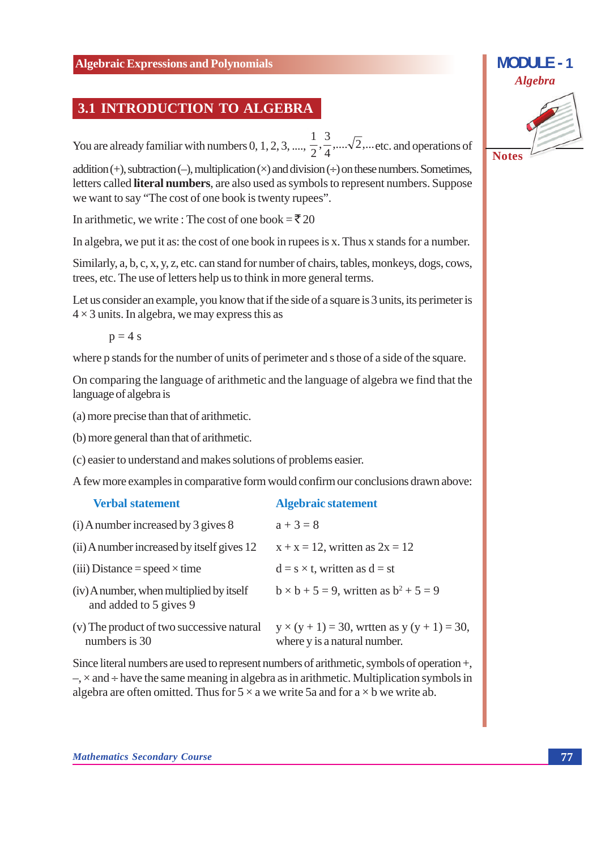#### **3.1 INTRODUCTION TO ALGEBRA**

You are already familiar with numbers 0, 1, 2, 3, ...,  $\frac{1}{2}$ ,  $\frac{3}{4}$ , ...  $\sqrt{2}$ , ... etc. and operations of

addition (+), subtraction (-), multiplication ( $\times$ ) and division ( $\div$ ) on these numbers. Sometimes, letters called literal numbers, are also used as symbols to represent numbers. Suppose we want to say "The cost of one book is twenty rupees".

In arithmetic, we write: The cost of one book =  $\bar{\mathfrak{F}}$  20

In algebra, we put it as: the cost of one book in rupees is x. Thus x stands for a number.

Similarly, a, b, c, x, y, z, etc, can stand for number of chairs, tables, monkeys, dogs, cows, trees, etc. The use of letters help us to think in more general terms.

Let us consider an example, you know that if the side of a square is 3 units, its perimeter is  $4 \times 3$  units. In algebra, we may express this as

 $p = 4$  s

where p stands for the number of units of perimeter and s those of a side of the square.

On comparing the language of arithmetic and the language of algebra we find that the language of algebra is

- (a) more precise than that of arithmetic.
- (b) more general than that of arithmetic.
- (c) easier to understand and makes solutions of problems easier.

A few more examples in comparative form would confirm our conclusions drawn above:

| <b>Verbal statement</b>                                            | <b>Algebraic statement</b>                                                           |
|--------------------------------------------------------------------|--------------------------------------------------------------------------------------|
| $(i)$ A number increased by 3 gives 8                              | $a + 3 = 8$                                                                          |
| (ii) A number increased by itself gives 12                         | $x + x = 12$ , written as $2x = 12$                                                  |
| (iii) Distance = speed $\times$ time                               | $d = s \times t$ , written as $d = st$                                               |
| (iv) A number, when multiplied by itself<br>and added to 5 gives 9 | $b \times b + 5 = 9$ , written as $b^2 + 5 = 9$                                      |
| (v) The product of two successive natural<br>numbers is 30         | $y \times (y + 1) = 30$ , wrtten as $y (y + 1) = 30$<br>where y is a natural number. |

Since literal numbers are used to represent numbers of arithmetic, symbols of operation +,  $\rightarrow$ ,  $\times$  and  $\div$  have the same meaning in algebra as in arithmetic. Multiplication symbols in algebra are often omitted. Thus for  $5 \times a$  we write 5a and for  $a \times b$  we write ab.

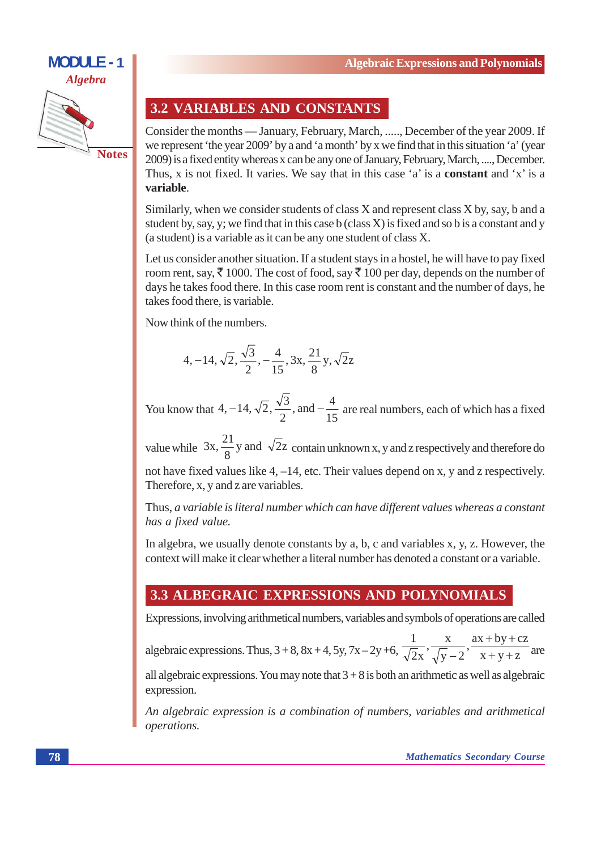

#### **3.2 VARIABLES AND CONSTANTS**

Consider the months — January, February, March, ...., December of the year 2009. If we represent 'the year 2009' by a and 'a month' by x we find that in this situation 'a' (year 2009) is a fixed entity whereas x can be any one of January, February, March, ...., December. Thus, x is not fixed. It varies. We say that in this case 'a' is a **constant** and 'x' is a variable.

Similarly, when we consider students of class X and represent class X by, say, b and a student by, say, y; we find that in this case b (class  $X$ ) is fixed and so b is a constant and y (a student) is a variable as it can be any one student of class X.

Let us consider another situation. If a student stays in a hostel, he will have to pay fixed room rent, say,  $\bar{\xi}$  1000. The cost of food, say  $\bar{\xi}$  100 per day, depends on the number of days he takes food there. In this case room rent is constant and the number of days, he takes food there, is variable.

Now think of the numbers.

$$
4, -14, \sqrt{2}, \frac{\sqrt{3}}{2}, -\frac{4}{15}, 3x, \frac{21}{8}y, \sqrt{2}z
$$

You know that 4, -14,  $\sqrt{2}$ ,  $\frac{\sqrt{3}}{2}$ , and  $-\frac{4}{15}$  are real numbers, each of which has a fixed

value while  $3x, \frac{21}{8}y$  and  $\sqrt{2}z$  contain unknown x, y and z respectively and therefore do

not have fixed values like 4, -14, etc. Their values depend on x, y and z respectively. Therefore, x, y and z are variables.

Thus, a variable is literal number which can have different values whereas a constant has a fixed value.

In algebra, we usually denote constants by a, b, c and variables x, y, z. However, the context will make it clear whether a literal number has denoted a constant or a variable.

#### 3.3 ALBEGRAIC EXPRESSIONS AND POLYNOMIALS

Expressions, involving arithmetical numbers, variables and symbols of operations are called

algebraic expressions. Thus,  $3 + 8$ ,  $8x + 4$ ,  $5y$ ,  $7x - 2y + 6$ ,  $\frac{1}{\sqrt{2}x}$ ,  $\frac{x}{\sqrt{y}-2}$ ,  $\frac{ax + by + cz}{x + y + z}$  are

all algebraic expressions. You may note that  $3 + 8$  is both an arithmetic as well as algebraic expression.

An algebraic expression is a combination of numbers, variables and arithmetical operations.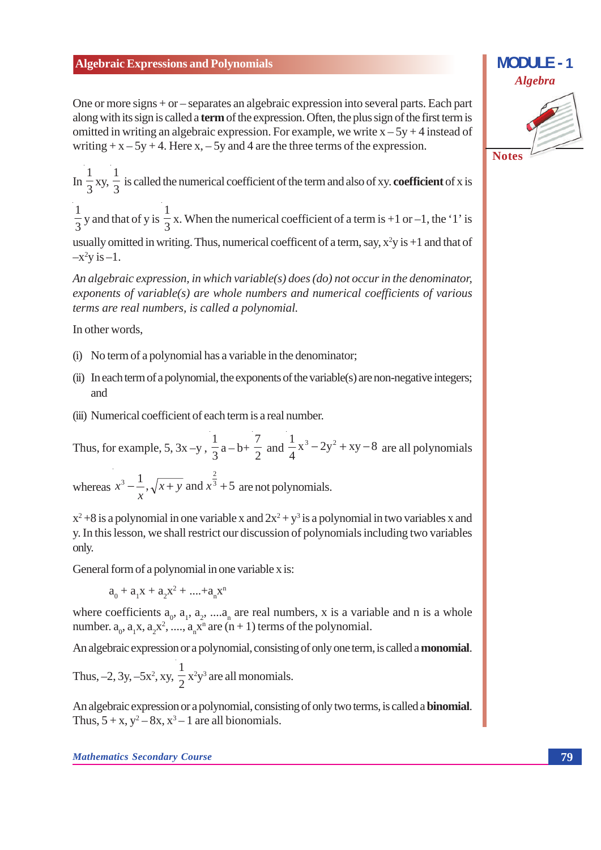One or more signs  $+$  or  $-$  separates an algebraic expression into several parts. Each part along with its sign is called a **term** of the expression. Often, the plus sign of the first term is omitted in writing an algebraic expression. For example, we write  $x - 5y + 4$  instead of writing +  $x - 5y + 4$ . Here  $x, -5y$  and 4 are the three terms of the expression.

In  $\frac{1}{3}$  xy,  $\frac{1}{3}$  is called the numerical coefficient of the term and also of xy. **coefficient** of x is

 $\frac{1}{2}$  y and that of y is  $\frac{1}{3}$ x. When the numerical coefficient of a term is +1 or -1, the '1' is usually omitted in writing. Thus, numerical coefficent of a term, say,  $x^2y$  is +1 and that of

 $-x^2y$  is  $-1$ .

An algebraic expression, in which variable(s) does (do) not occur in the denominator, exponents of variable(s) are whole numbers and numerical coefficients of various terms are real numbers, is called a polynomial.

In other words.

- (i) No term of a polynomial has a variable in the denominator;
- (ii) In each term of a polynomial, the exponents of the variable(s) are non-negative integers; and
- (iii) Numerical coefficient of each term is a real number.

Thus, for example, 5, 3x -y,  $\frac{1}{3}$  a - b+  $\frac{7}{2}$  and  $\frac{1}{4}$ x<sup>3</sup> - 2y<sup>2</sup> + xy - 8 are all polynomials

whereas  $x^3 - \frac{1}{x}, \sqrt{x + y}$  and  $x^{\frac{2}{3}} + 5$  are not polynomials.

 $x^2 + 8$  is a polynomial in one variable x and  $2x^2 + y^3$  is a polynomial in two variables x and y. In this lesson, we shall restrict our discussion of polynomials including two variables only.

General form of a polynomial in one variable x is:

 $a_0 + a_1x + a_2x^2 + \dots + a_nx^n$ 

where coefficients  $a_0$ ,  $a_1$ ,  $a_2$ , ....a, are real numbers, x is a variable and n is a whole number.  $a_0$ ,  $a_1x$ ,  $a_2x^2$ , ...,  $a_nx^n$  are  $(n + 1)$  terms of the polynomial.

An algebraic expression or a polynomial, consisting of only one term, is called a **monomial**.

Thus,  $-2$ , 3y,  $-5x^2$ , xy,  $\frac{1}{2}x^2y^3$  are all monomials.

An algebraic expression or a polynomial, consisting of only two terms, is called a **binomial**. Thus,  $5 + x$ ,  $y^2 - 8x$ ,  $x^3 - 1$  are all bionomials.

# **Algebra Notes**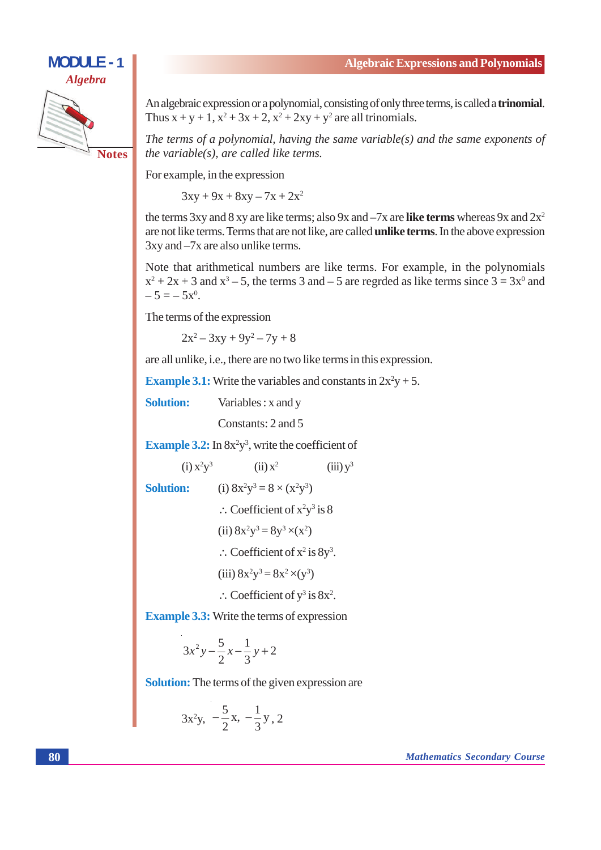# **MODULE - 1 Algebra**

**Notes** 

An algebraic expression or a polynomial, consisting of only three terms, is called a **trinomial**. Thus  $x + y + 1$ ,  $x^2 + 3x + 2$ ,  $x^2 + 2xy + y^2$  are all trinomials.

The terms of a polynomial, having the same variable(s) and the same exponents of the variable $(s)$ , are called like terms.

For example, in the expression

 $3xy + 9x + 8xy - 7x + 2x^2$ 

the terms 3xy and 8 xy are like terms; also 9x and  $-7x$  are like terms whereas 9x and  $2x^2$ are not like terms. Terms that are not like, are called **unlike terms**. In the above expression  $3xy$  and  $-7x$  are also unlike terms.

Note that arithmetical numbers are like terms. For example, in the polynomials  $x^2 + 2x + 3$  and  $x^3 - 5$ , the terms 3 and -5 are regrded as like terms since  $3 = 3x^0$  and  $-5 = -5x^{0}$ .

The terms of the expression

 $2x^2 - 3xy + 9y^2 - 7y + 8$ 

are all unlike, i.e., there are no two like terms in this expression.

**Example 3.1:** Write the variables and constants in  $2x^2y + 5$ .

**Solution:** Variables: x and y

Constants: 2 and 5

**Example 3.2:** In  $8x^2y^3$ , write the coefficient of

(i) 
$$
x^2y^3
$$
 (ii)  $x^2$  (iii)  $y^3$   
\n**Solution:**  
\n(i)  $8x^2y^3 = 8 \times (x^2y^3)$   
\n $\therefore$  Coefficient of  $x^2y^3$  is 8  
\n(ii)  $8x^2y^3 = 8y^3 \times (x^2)$   
\n $\therefore$  Coefficient of  $x^2$  is  $8y^3$ .  
\n(iii)  $8x^2y^3 = 8x^2 \times (y^3)$   
\n $\therefore$  Coefficient of  $y^3$  is  $8x^2$ .

**Example 3.3:** Write the terms of expression

$$
3x^2y - \frac{5}{2}x - \frac{1}{3}y + 2
$$

**Solution:** The terms of the given expression are

$$
3x^2y, -\frac{5}{2}x, -\frac{1}{3}y, 2
$$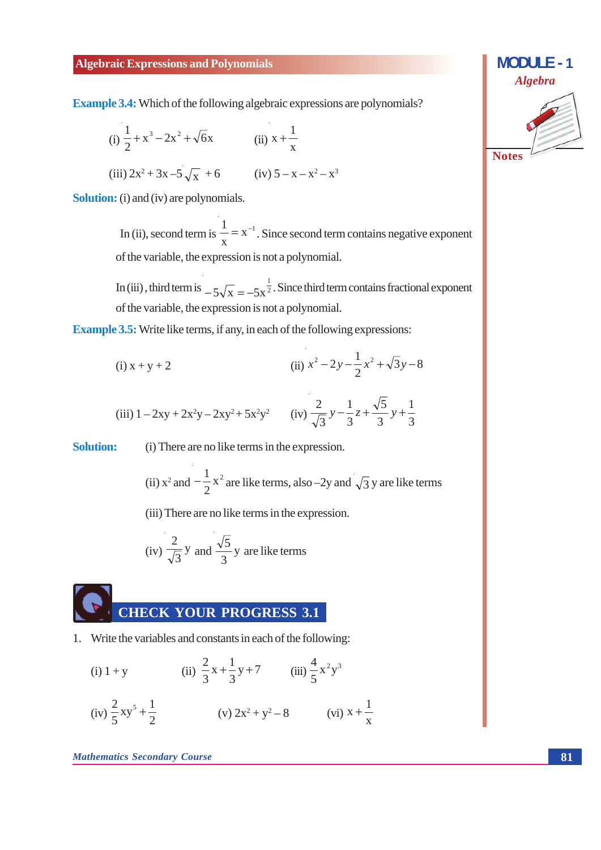**Example 3.4:** Which of the following algebraic expressions are polynomials?

(i) 
$$
\frac{1}{2} + x^3 - 2x^2 + \sqrt{6}x
$$
  
\n(ii)  $x + \frac{1}{x}$   
\n(iii)  $2x^2 + 3x - 5\sqrt{x} + 6$   
\n(iv)  $5 - x - x^2 - x^3$ 

**Solution:** (i) and (iv) are polynomials.

In (ii), second term is  $\frac{1}{x} = x^{-1}$ . Since second term contains negative exponent of the variable, the expression is not a polynomial.

In (iii), third term is  $-5\sqrt{x} = -5x^{\frac{1}{2}}$ . Since third term contains fractional exponent of the variable, the expression is not a polynomial.

**Example 3.5:** Write like terms, if any, in each of the following expressions:

(i) 
$$
x + y + 2
$$
 \t\t\t (ii)  $x^2 - 2y - \frac{1}{2}x^2 + \sqrt{3}y - 8$ 

(iii) 
$$
1 - 2xy + 2x^2y - 2xy^2 + 5x^2y^2
$$
 (iv)  $\frac{2}{\sqrt{3}}y - \frac{1}{3}z + \frac{\sqrt{5}}{3}y + \frac{1}{3}$ 

**Solution:** (i) There are no like terms in the expression.

(ii) 
$$
x^2
$$
 and  $-\frac{1}{2}x^2$  are like terms, also  $-2y$  and  $\sqrt{3}y$  are like terms

(iii) There are no like terms in the expression.

(iv) 
$$
\frac{2}{\sqrt{3}}
$$
 y and  $\frac{\sqrt{5}}{3}$  y are like terms



1. Write the variables and constants in each of the following:

(i) 
$$
1 + y
$$
  
\n(ii)  $\frac{2}{3}x + \frac{1}{3}y + 7$   
\n(iii)  $\frac{4}{5}x^2y^3$   
\n(iv)  $\frac{2}{5}xy^5 + \frac{1}{2}$   
\n(v)  $2x^2 + y^2 - 8$   
\n(vi)  $x + \frac{1}{x}$ 

**Mathematics Secondary Course** 

$$
Algebra
$$
\nNotes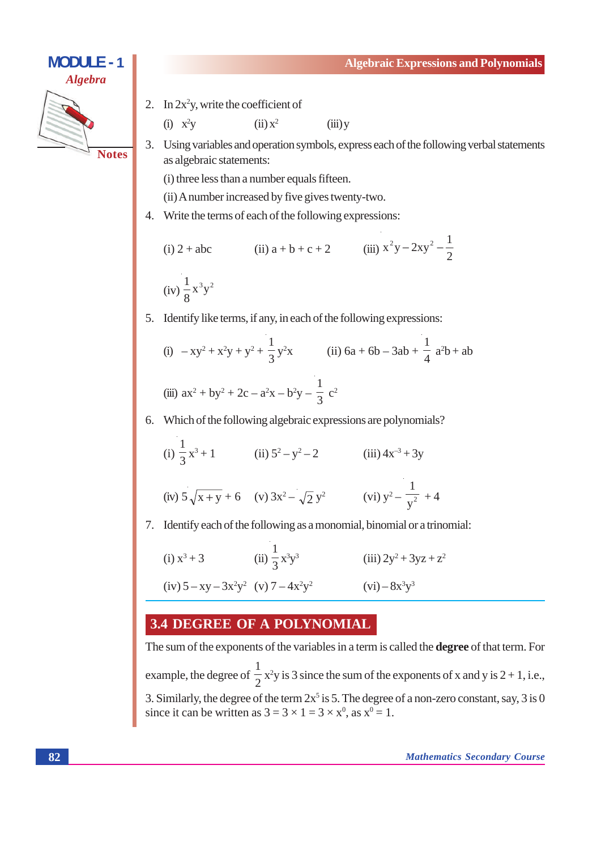**MODULE - 1 Algebraic Expressions and Polynomials Algebra** 2. In  $2x^2y$ , write the coefficient of  $(i)$   $x^2y$  $(ii) x<sup>2</sup>$  $(iii)$  y 3. Using variables and operation symbols, express each of the following verbal statements **Notes** as algebraic statements: (i) three less than a number equals fifteen. (ii) A number increased by five gives twenty-two. 4. Write the terms of each of the following expressions: (ii)  $a + b + c + 2$  (iii)  $x^2y - 2xy^2 - \frac{1}{2}$  $(i)$  2 + abc  $(iv) \frac{1}{8}x^3y^2$ 

5. Identify like terms, if any, in each of the following expressions:

(i) 
$$
-xy^2 + x^2y + y^2 + \frac{1}{3}y^2x
$$
 (ii)  $6a + 6b - 3ab + \frac{1}{4}a^2b + ab$   
(iii)  $ax^2 + by^2 + 2c - a^2x - b^2y - \frac{1}{3}c^2$ 

6. Which of the following algebraic expressions are polynomials?

(i) 
$$
\frac{1}{3}x^3 + 1
$$
 (ii)  $5^2 - y^2 - 2$  (iii)  $4x^{-3} + 3y$   
(iv)  $5\sqrt{x+y} + 6$  (v)  $3x^2 - \sqrt{2}y^2$  (vi)  $y^2 - \frac{1}{y^2} + 4y$ 

7. Identify each of the following as a monomial, binomial or a trinomial:

(i) 
$$
x^3 + 3
$$
 (ii)  $\frac{1}{3}x^3y^3$  (iii)  $2y^2 + 3yz + z^2$   
(iv)  $5 - xy - 3x^2y^2$  (v)  $7 - 4x^2y^2$  (vi)  $-8x^3y^3$ 

#### **3.4 DEGREE OF A POLYNOMIAL**

The sum of the exponents of the variables in a term is called the **degree** of that term. For example, the degree of  $\frac{1}{2}x^2y$  is 3 since the sum of the exponents of x and y is 2 + 1, i.e., 3. Similarly, the degree of the term  $2x^5$  is 5. The degree of a non-zero constant, say, 3 is 0 since it can be written as  $3 = 3 \times 1 = 3 \times x^0$ , as  $x^0 = 1$ .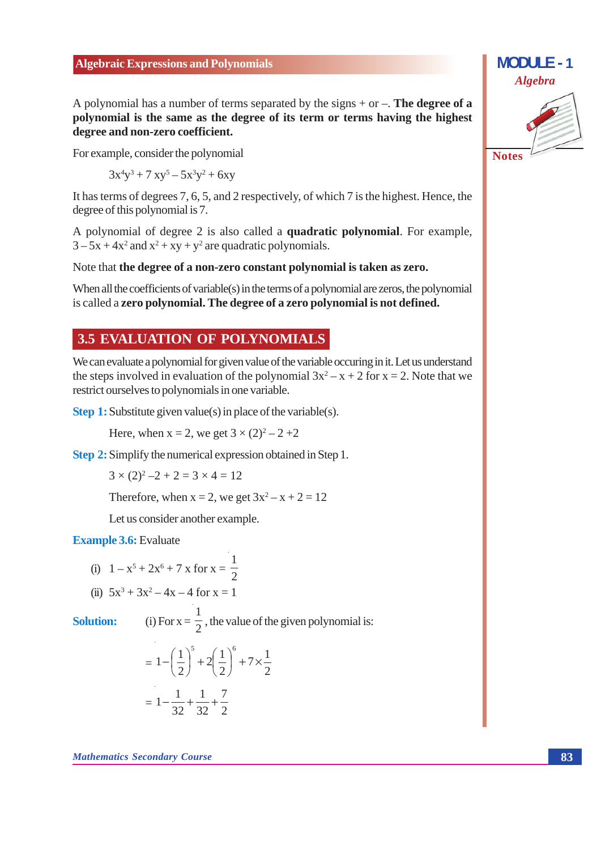A polynomial has a number of terms separated by the signs  $+$  or  $-$ . The degree of a polynomial is the same as the degree of its term or terms having the highest degree and non-zero coefficient.

For example, consider the polynomial

 $3x^4y^3 + 7xy^5 - 5x^3y^2 + 6xy$ 

It has terms of degrees 7, 6, 5, and 2 respectively, of which 7 is the highest. Hence, the degree of this polynomial is 7.

A polynomial of degree 2 is also called a **quadratic polynomial**. For example,  $3-5x+4x^2$  and  $x^2+xy+y^2$  are quadratic polynomials.

Note that the degree of a non-zero constant polynomial is taken as zero.

When all the coefficients of variable(s) in the terms of a polynomial are zeros, the polynomial is called a zero polynomial. The degree of a zero polynomial is not defined.

#### **3.5 EVALUATION OF POLYNOMIALS**

We can evaluate a polynomial for given value of the variable occuring in it. Let us understand the steps involved in evaluation of the polynomial  $3x^2 - x + 2$  for  $x = 2$ . Note that we restrict ourselves to polynomials in one variable.

**Step 1:** Substitute given value(s) in place of the variable(s).

Here, when  $x = 2$ , we get  $3 \times (2)^2 - 2 + 2$ 

**Step 2:** Simplify the numerical expression obtained in Step 1.

$$
3 \times (2)^2 - 2 + 2 = 3 \times 4 = 12
$$

Therefore, when  $x = 2$ , we get  $3x^2 - x + 2 = 12$ 

Let us consider another example.

**Example 3.6:** Evaluate

(i) 
$$
1 - x^5 + 2x^6 + 7x
$$
 for  $x = \frac{1}{2}$ 

(ii) 
$$
5x^3 + 3x^2 - 4x - 4
$$
 for  $x = 1$ 

**Solution:** 

(i) For  $x = \frac{1}{2}$ , the value of the given polynomial is:

$$
= 1 - \left(\frac{1}{2}\right)^5 + 2\left(\frac{1}{2}\right)^6 + 7 \times \frac{1}{2}
$$

$$
= 1 - \frac{1}{32} + \frac{1}{32} + \frac{7}{2}
$$



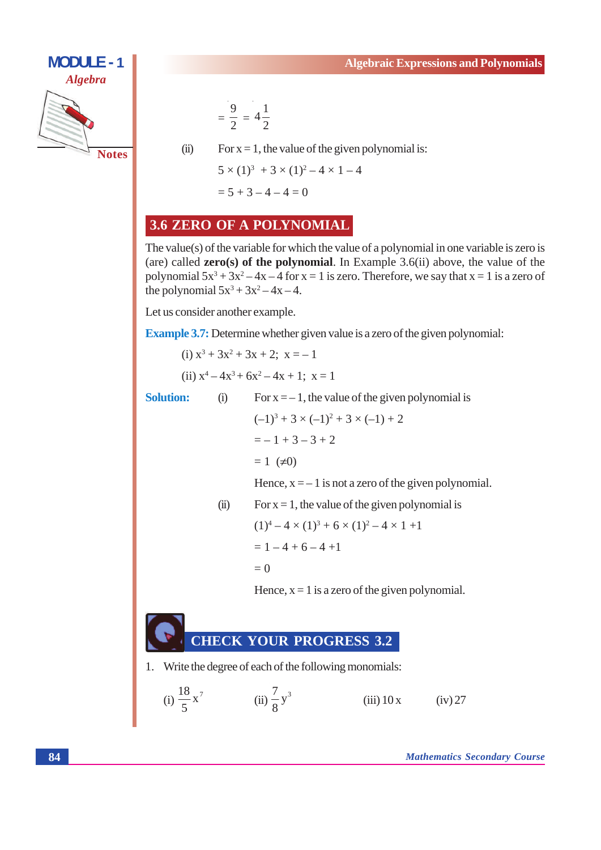

$$
=\frac{9}{2} = 4\frac{1}{2}
$$

 $(ii)$ For  $x = 1$ , the value of the given polynomial is:

$$
5 \times (1)^3 + 3 \times (1)^2 - 4 \times 1 - 4
$$
  
= 5 + 3 - 4 - 4 = 0

#### 3.6 ZERO OF A POLYNOMIAL

The value(s) of the variable for which the value of a polynomial in one variable is zero is (are) called  $zero(s)$  of the polynomial. In Example 3.6(ii) above, the value of the polynomial  $5x^3 + 3x^2 - 4x - 4$  for  $x = 1$  is zero. Therefore, we say that  $x = 1$  is a zero of the polynomial  $5x^3 + 3x^2 - 4x - 4$ .

Let us consider another example.

 $(i)$ 

 $(ii)$ 

**Example 3.7:** Determine whether given value is a zero of the given polynomial:

(i) 
$$
x^3 + 3x^2 + 3x + 2
$$
;  $x = -1$   
(ii)  $x^4 - 4x^3 + 6x^2 - 4x + 1$ ;  $x = 1$ 

**Solution:** 

For  $x = -1$ , the value of the given polynomial is  $(-1)^3 + 3 \times (-1)^2 + 3 \times (-1) + 2$  $=-1+3-3+2$  $= 1$  ( $\neq 0$ ) Hence,  $x = -1$  is not a zero of the given polynomial. For  $x = 1$ , the value of the given polynomial is  $(1)^4 - 4 \times (1)^3 + 6 \times (1)^2 - 4 \times 1 + 1$  $= 1 - 4 + 6 - 4 + 1$ 

 $= 0$ 

Hence,  $x = 1$  is a zero of the given polynomial.

#### **THECK YOUR PROGRESS 3.2**

1. Write the degree of each of the following monomials:

(i) 
$$
\frac{18}{5}x^7
$$
 (ii)  $\frac{7}{8}y^3$  (iii) 10 x (iv) 27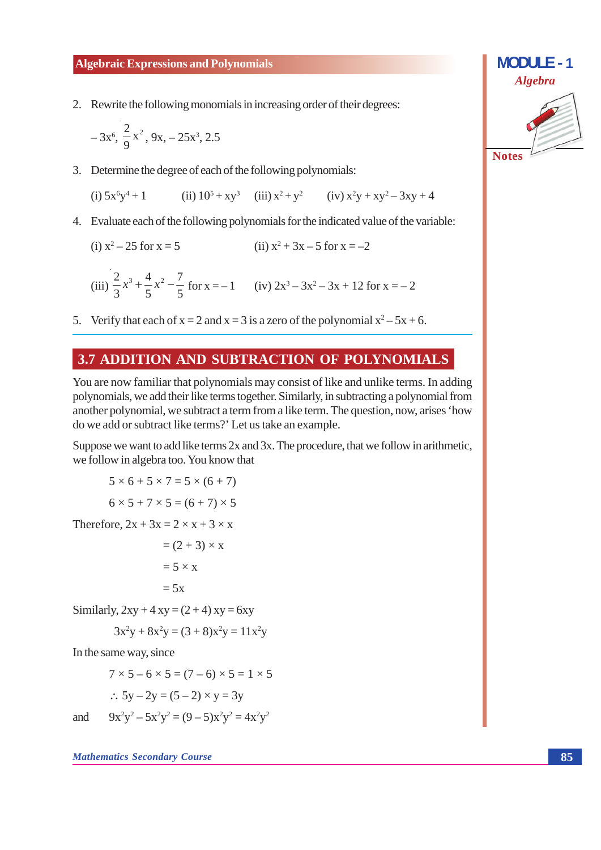2. Rewrite the following monomials in increasing order of their degrees:

$$
-3x^6, \frac{2}{9}x^2, 9x, -25x^3, 2.5
$$

3. Determine the degree of each of the following polynomials:

(i)  $5x^6y^4 + 1$  (ii)  $10^5 + xy^3$  (iii)  $x^2 + y^2$  (iv)  $x^2y + xy^2 - 3xy + 4$ 

4. Evaluate each of the following polynomials for the indicated value of the variable:

(ii)  $x^2 + 3x - 5$  for  $x = -2$ (i)  $x^2 - 25$  for  $x = 5$ 

(iii) 
$$
\frac{2}{3}x^3 + \frac{4}{5}x^2 - \frac{7}{5}
$$
 for x = -1 (iv)  $2x^3 - 3x^2 - 3x + 12$  for x = -2

5. Verify that each of  $x = 2$  and  $x = 3$  is a zero of the polynomial  $x^2 - 5x + 6$ .

#### 3.7 ADDITION AND SUBTRACTION OF POLYNOMIALS

You are now familiar that polynomials may consist of like and unlike terms. In adding polynomials, we add their like terms together. Similarly, in subtracting a polynomial from another polynomial, we subtract a term from a like term. The question, now, arises 'how do we add or subtract like terms?' Let us take an example.

Suppose we want to add like terms 2x and 3x. The procedure, that we follow in arithmetic, we follow in algebra too. You know that

$$
5 \times 6 + 5 \times 7 = 5 \times (6 + 7)
$$

$$
6 \times 5 + 7 \times 5 = (6 + 7) \times 5
$$

Therefore,  $2x + 3x = 2 \times x + 3 \times x$ 

$$
= (2 + 3) \times x
$$

$$
= 5 \times x
$$

$$
= 5x
$$

Similarly,  $2xy + 4xy = (2 + 4)xy = 6xy$ 

$$
3x^2y + 8x^2y = (3+8)x^2y = 11x^2y
$$

In the same way, since

$$
7 \times 5 - 6 \times 5 = (7 - 6) \times 5 = 1 \times 5
$$
  
:. 
$$
5y - 2y = (5 - 2) \times y = 3y
$$

 $9x^{2}y^{2} - 5x^{2}y^{2} = (9 - 5)x^{2}y^{2} = 4x^{2}y^{2}$ 

and

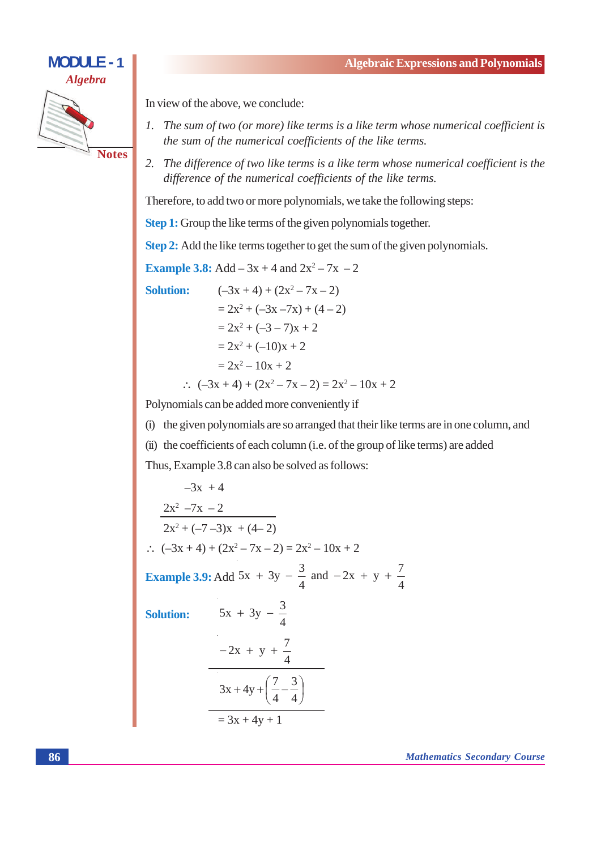

In view of the above, we conclude:

- 1. The sum of two (or more) like terms is a like term whose numerical coefficient is the sum of the numerical coefficients of the like terms.
- 2. The difference of two like terms is a like term whose numerical coefficient is the difference of the numerical coefficients of the like terms.

Therefore, to add two or more polynomials, we take the following steps:

**Step 1:** Group the like terms of the given polynomials together.

Step 2: Add the like terms together to get the sum of the given polynomials.

**Example 3.8:** Add  $-3x + 4$  and  $2x^2 - 7x - 2$ 

**Solution:** 

$$
(-3x + 4) + (2x2 - 7x - 2)
$$
  
= 2x<sup>2</sup> + (-3x - 7x) + (4 - 2)  
= 2x<sup>2</sup> + (-3 - 7)x + 2  
= 2x<sup>2</sup> + (-10)x + 2  
= 2x<sup>2</sup> - 10x + 2  

$$
\therefore
$$
 (-3x + 4) + (2x<sup>2</sup> - 7x - 2) = 2x<sup>2</sup> - 10x + 2

Polynomials can be added more conveniently if

(i) the given polynomials are so arranged that their like terms are in one column, and

(ii) the coefficients of each column (i.e. of the group of like terms) are added

Thus, Example 3.8 can also be solved as follows:

 $-3x + 4$  $\frac{2x^2 - 7x - 2}{2x^2 + (-7 - 3)x + (4 - 2)}$  $\therefore$   $(-3x+4)+(2x^2-7x-2)=2x^2-10x+2$ **Example 3.9:** Add 5x + 3y -  $\frac{3}{4}$  and -2x + y +  $\frac{7}{4}$  $5x + 3y - \frac{3}{4}$ **Solution:**  $-2x + y + \frac{7}{4}$  $3x + 4y + \left(\frac{7}{4} - \frac{3}{4}\right)$  $= 3x + 4y + 1$ 

**Mathematics Secondary Course**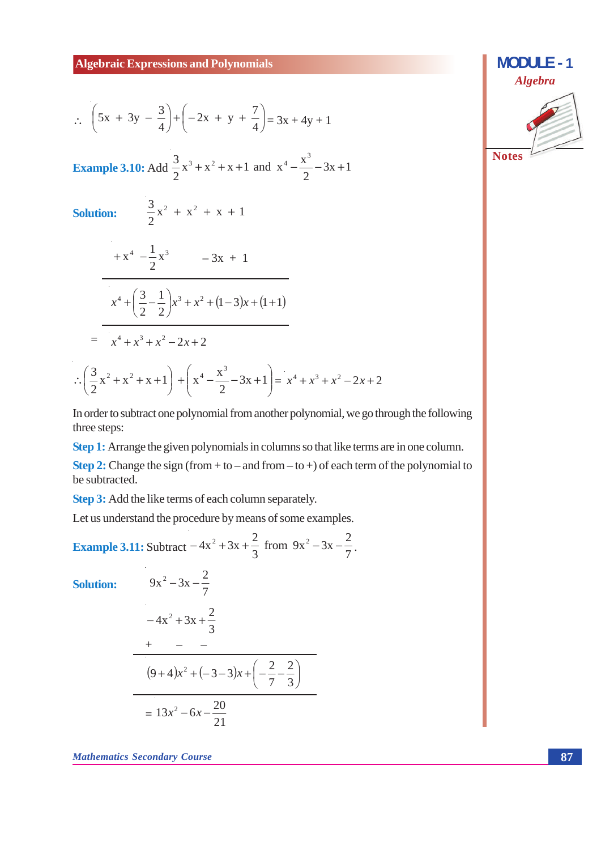$$
\therefore \left(5x + 3y - \frac{3}{4}\right) + \left(-2x + y + \frac{7}{4}\right) = 3x + 4y + 1
$$

**Example 3.10:** Add  $\frac{3}{2}x^3 + x^2 + x + 1$  and  $x^4 - \frac{x^3}{2} - 3x + 1$ 

 $\frac{3}{2}x^2 + x^2 + x + 1$ 

**Solution:** 

$$
+x^{4} - \frac{1}{2}x^{3} - 3x + 1
$$
  

$$
x^{4} + \left(\frac{3}{2} - \frac{1}{2}\right)x^{3} + x^{2} + (1-3)x + (1+1)
$$
  

$$
= x^{4} + x^{3} + x^{2} - 2x + 2
$$
  

$$
\therefore \left(\frac{3}{2}x^{2} + x^{2} + x + 1\right) + \left(x^{4} - \frac{x^{3}}{2} - 3x + 1\right) = x^{4} + x^{3} + x^{2} - 2x + 2
$$

In order to subtract one polynomial from another polynomial, we go through the following three steps:

Step 1: Arrange the given polynomials in columns so that like terms are in one column.

**Step 2:** Change the sign (from + to – and from – to +) of each term of the polynomial to be subtracted.

Step 3: Add the like terms of each column separately.

 $9x^2-3x-\frac{2}{7}$ 

Let us understand the procedure by means of some examples.

**Example 3.11:** Subtract  $-4x^2 + 3x + \frac{2}{3}$  from  $9x^2 - 3x - \frac{2}{7}$ .

**Solution:** 

$$
-4x^{2} + 3x + \frac{2}{3}
$$
  
+ 
$$
- -
$$
  
(9+4)x<sup>2</sup> + (-3-3)x + 
$$
\left(-\frac{2}{7} - \frac{2}{3}\right)
$$
  
= 
$$
13x^{2} - 6x - \frac{20}{21}
$$

**Mathematics Secondary Course** 

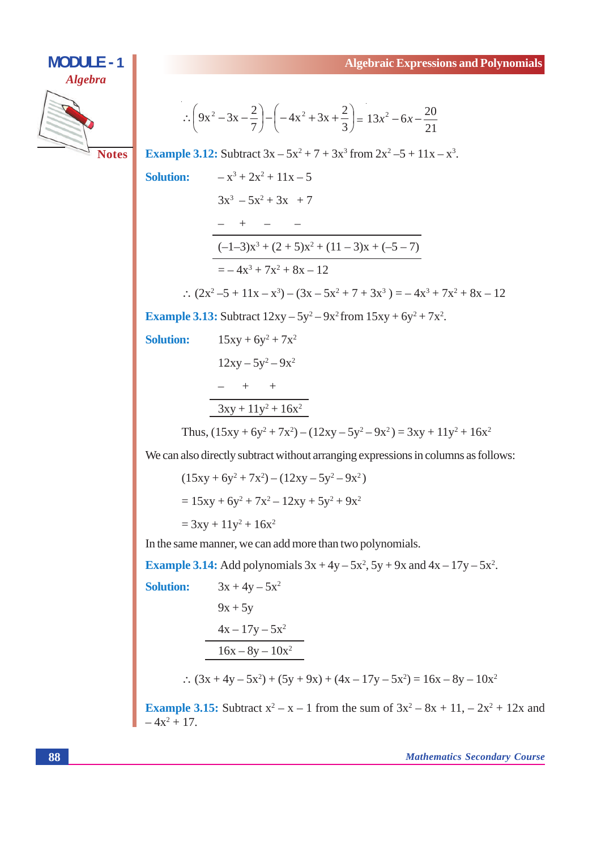## **MODULE - 1 Algebra Notes**

$$
\therefore \left(9x^2 - 3x - \frac{2}{7}\right) - \left(-4x^2 + 3x + \frac{2}{3}\right) = 13x^2 - 6x - \frac{20}{21}
$$

**Example 3.12:** Subtract  $3x - 5x^2 + 7 + 3x^3$  from  $2x^2 - 5 + 11x - x^3$ .

**Solution:** 

 $-x^3 + 2x^2 + 11x - 5$  $3x^3 - 5x^2 + 3x + 7$  $- \quad + \quad - \quad (-1-3)x^3 + (2+5)x^2 + (11-3)x + (-5-7)$  $=-4x^3+7x^2+8x-12$ 

$$
\therefore (2x^2 - 5 + 11x - x^3) - (3x - 5x^2 + 7 + 3x^3) = -4x^3 + 7x^2 + 8x - 12
$$

**Example 3.13:** Subtract 
$$
12xy - 5y^2 - 9x^2
$$
 from  $15xy + 6y^2 + 7x^2$ .

**Solution:** 

 $15xy + 6y^2 + 7x^2$  $12xy - 5y^2 - 9x^2$  $- + +$  $3xy + 11y^2 + 16x^2$ 

Thus, 
$$
(15xy + 6y^2 + 7x^2) - (12xy - 5y^2 - 9x^2) = 3xy + 11y^2 + 16x^2
$$

We can also directly subtract without arranging expressions in columns as follows:

$$
(15xy + 6y2 + 7x2) - (12xy - 5y2 - 9x2)
$$
  
= 15xy + 6y<sup>2</sup> + 7x<sup>2</sup> - 12xy + 5y<sup>2</sup> + 9x<sup>2</sup>  
= 3xy + 11y<sup>2</sup> + 16x<sup>2</sup>

In the same manner, we can add more than two polynomials.

**Example 3.14:** Add polynomials  $3x + 4y - 5x^2$ ,  $5y + 9x$  and  $4x - 17y - 5x^2$ .  $3x + 4y - 5x^2$ **Solution:**  $9x + 5y$  $4x - 17y - 5x^2$  $\frac{16x - 8y - 10x^2}{x^2}$  $\therefore$   $(3x + 4y - 5x^2) + (5y + 9x) + (4x - 17y - 5x^2) = 16x - 8y - 10x^2$ **Example 3.15:** Subtract  $x^2 - x - 1$  from the sum of  $3x^2 - 8x + 11$ ,  $-2x^2 + 12x$  and

 $-4x^2+17$ .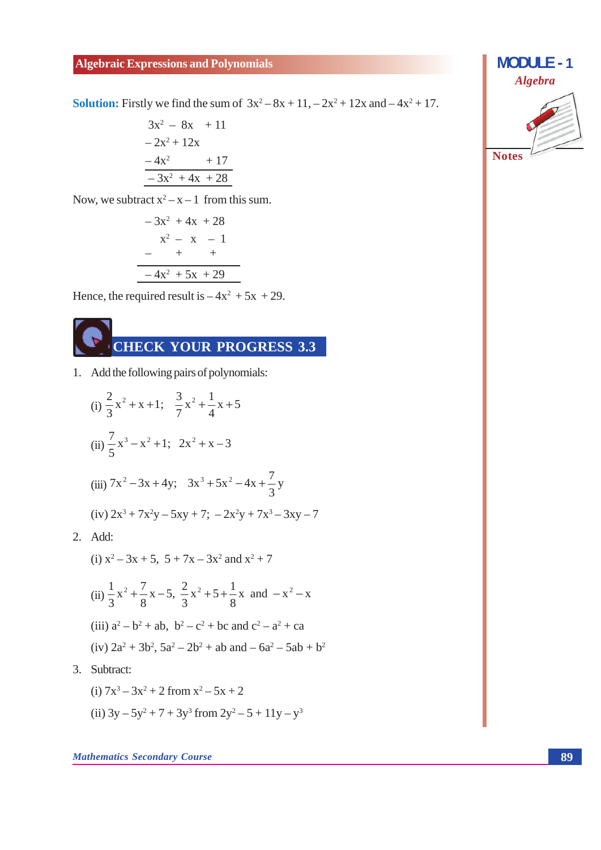**Solution:** Firstly we find the sum of  $3x^2 - 8x + 11$ ,  $-2x^2 + 12x$  and  $-4x^2 + 17$ .

$$
3x2 - 8x + 11
$$
  
- 2x<sup>2</sup> + 12x  
- 4x<sup>2</sup> + 17  
- 3x<sup>2</sup> + 4x + 28

Now, we subtract  $x^2 - x - 1$  from this sum.

$$
-3x2 + 4x + 28
$$
  

$$
x2 - x - 1
$$
  

$$
-4x2 + 5x + 29
$$

Hence, the required result is  $-4x^2 + 5x + 29$ .

1. Add the following pairs of polynomials:

(i) 
$$
\frac{2}{3}x^2 + x + 1
$$
;  $\frac{3}{7}x^2 + \frac{1}{4}x + 5$   
\n(ii)  $\frac{7}{5}x^3 - x^2 + 1$ ;  $2x^2 + x - 3$   
\n(iii)  $7x^2 - 3x + 4y$ ;  $3x^3 + 5x^2 - 4x + \frac{7}{3}y$   
\n(iv)  $2x^3 + 7x^2y - 5xy + 7$ ;  $-2x^2y + 7x^3 - 3xy - 7$   
\nAdd:

 $2.$  Add:

(i) 
$$
x^2 - 3x + 5
$$
,  $5 + 7x - 3x^2$  and  $x^2 + 7$   
(ii)  $\frac{1}{2}x^2 + \frac{7}{2}x - 5 = \frac{2}{2}x^2 + 5 + \frac{1}{2}x$  and  $-x^2$ 

(ii) 
$$
\frac{1}{3}x^2 + \frac{1}{8}x^2 - 3
$$
,  $\frac{1}{3}x^2 + 3 + \frac{1}{8}x^2$  and  $-x^2 - x^2$   
(iii)  $a^2 - b^2 + ab$ ,  $b^2 - c^2 + bc$  and  $c^2 - a^2 + ca$ 

(iv) 
$$
2a^2 + 3b^2
$$
,  $5a^2 - 2b^2 + ab$  and  $-6a^2 - 5ab + b^2$ 

3. Subtract:

(i) 
$$
7x^3 - 3x^2 + 2
$$
 from  $x^2 - 5x + 2$   
(ii)  $3y - 5y^2 + 7 + 3y^3$  from  $2y^2 - 5 + 11y - y^3$ 

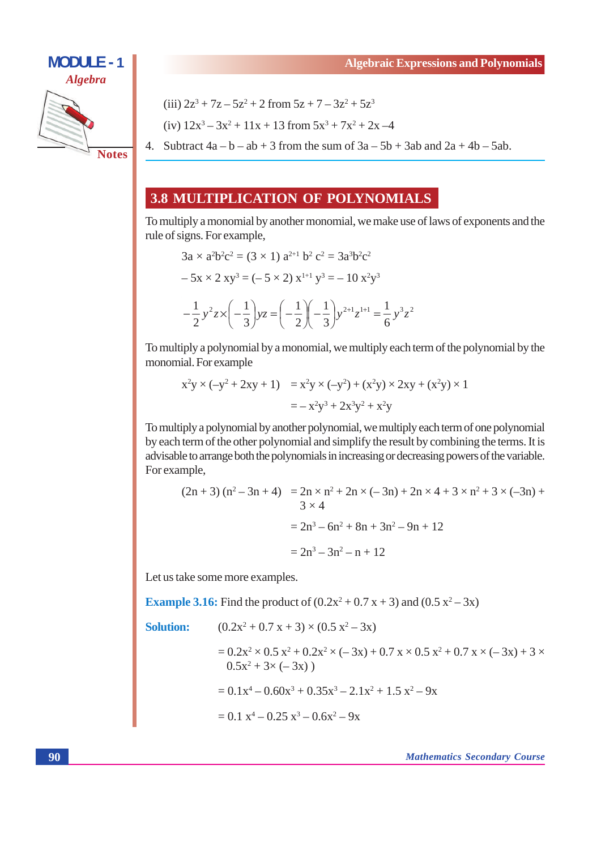

(iii) 
$$
2z^3 + 7z - 5z^2 + 2
$$
 from  $5z + 7 - 3z^2 + 5z^3$ 

(iv)  $12x^3 - 3x^2 + 11x + 13$  from  $5x^3 + 7x^2 + 2x - 4$ 

4. Subtract  $4a - b - ab + 3$  from the sum of  $3a - 5b + 3ab$  and  $2a + 4b - 5ab$ .

#### 3.8 MULTIPLICATION OF POLYNOMIALS

To multiply a monomial by another monomial, we make use of laws of exponents and the rule of signs. For example,

$$
3a \times a^{2}b^{2}c^{2} = (3 \times 1) a^{2+1} b^{2} c^{2} = 3a^{3}b^{2}c^{2}
$$
  
-5x \times 2 xy<sup>3</sup> = (-5 \times 2) x<sup>1+1</sup> y<sup>3</sup> = -10 x<sup>2</sup>y<sup>3</sup>  

$$
-\frac{1}{2} y^{2} z \times \left(-\frac{1}{3}\right) yz = \left(-\frac{1}{2}\right)\left(-\frac{1}{3}\right)y^{2+1}z^{1+1} = \frac{1}{6} y^{3} z^{2}
$$

To multiply a polynomial by a monomial, we multiply each term of the polynomial by the monomial. For example

$$
x^{2}y \times (-y^{2} + 2xy + 1) = x^{2}y \times (-y^{2}) + (x^{2}y) \times 2xy + (x^{2}y) \times 1
$$
  
=  $-x^{2}y^{3} + 2x^{3}y^{2} + x^{2}y$ 

To multiply a polynomial by another polynomial, we multiply each term of one polynomial by each term of the other polynomial and simplify the result by combining the terms. It is advisable to arrange both the polynomials in increasing or decreasing powers of the variable. For example,

$$
(2n+3)(n^2-3n+4) = 2n \times n^2 + 2n \times (-3n) + 2n \times 4 + 3 \times n^2 + 3 \times (-3n) + 3 \times 4
$$
  
= 2n<sup>3</sup> - 6n<sup>2</sup> + 8n + 3n<sup>2</sup> - 9n + 12  
= 2n<sup>3</sup> - 3n<sup>2</sup> - n + 12

Let us take some more examples.

**Example 3.16:** Find the product of  $(0.2x^2 + 0.7x + 3)$  and  $(0.5x^2 - 3x)$ 

 $(0.2x^2 + 0.7x + 3) \times (0.5x^2 - 3x)$ 

**Solution:** 

$$
= 0.2x2 \times 0.5 x2 + 0.2x2 \times (-3x) + 0.7 x \times 0.5 x2 + 0.7 x \times (-3x) + 3 \times 0.5x2 + 3 \times (-3x)
$$
  
= 0.1x<sup>4</sup> - 0.60x<sup>3</sup> + 0.35x<sup>3</sup> - 2.1x<sup>2</sup> + 1.5 x<sup>2</sup> - 9x

$$
= 0.1 x^4 - 0.25 x^3 - 0.6x^2 - 9x
$$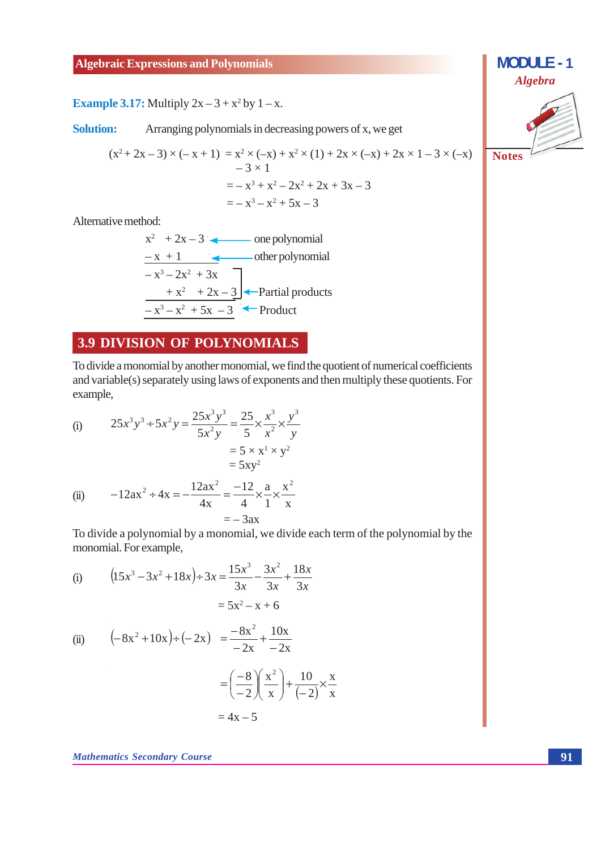#### **Example 3.17:** Multiply  $2x - 3 + x^2$  by  $1 - x$ .

**Solution:** Arranging polynomials in decreasing powers of x, we get

$$
(x2+2x-3) \times (-x + 1) = x2 \times (-x) + x2 \times (1) + 2x \times (-x) + 2x \times 1 - 3 \times (-x)
$$
  
\n
$$
-3 \times 1
$$
  
\n
$$
= -x3 + x2 - 2x2 + 2x + 3x - 3
$$
  
\n
$$
= -x3 - x2 + 5x - 3
$$

Alternative method:

$$
x2 + 2x - 3
$$
 one polynomial  

$$
-x + 1
$$
 other polynomial  

$$
-x3-2x2 + 3x
$$

$$
+x2 + 2x - 3
$$
•Partial products  

$$
-x3-x2 + 5x - 3
$$
• Product

#### **3.9 DIVISION OF POLYNOMIALS**

To divide a monomial by another monomial, we find the quotient of numerical coefficients and variable(s) separately using laws of exponents and then multiply these quotients. For example,

(i) 
$$
25x^3y^3 \div 5x^2y = \frac{25x^3y^3}{5x^2y} = \frac{25}{5} \times \frac{x^3}{x^2} \times \frac{y^3}{y}
$$

$$
= 5 \times x^1 \times y^2
$$

$$
= 5xy^2
$$
(ii) 
$$
-12ax^2 \div 4x = -\frac{12ax^2}{4x} = -\frac{12}{4} \times \frac{a}{1} \times \frac{x^2}{x}
$$

 $=-3ax$ 

(i) 
$$
(15x^3 - 3x^2 + 18x) \div 3x = \frac{15x^3}{3x} - \frac{3x^2}{3x} + \frac{18x}{3x}
$$

$$
= 5x^2 - x + 6
$$

(ii) 
$$
\left(-8x^2 + 10x\right) \div \left(-2x\right) = \frac{-8x^2}{-2x} + \frac{10x}{-2x}
$$

$$
= \left(\frac{-8}{-2}\right)\left(\frac{x^2}{x}\right) + \frac{10}{(-2)} \times \frac{x}{x}
$$

$$
= 4x - 5
$$

**Mathematics Secondary Course** 

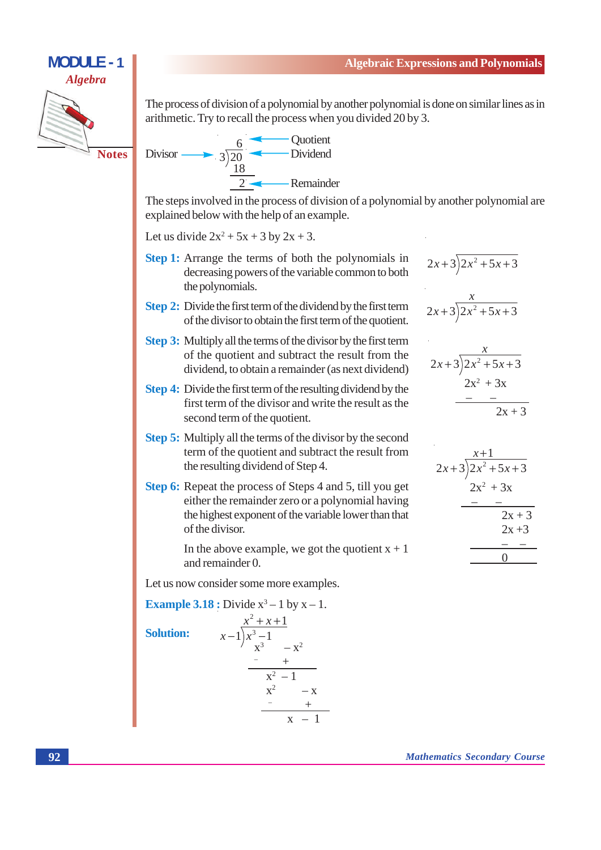#### **MODULE - 1 Algebra**



The process of division of a polynomial by another polynomial is done on similar lines as in arithmetic. Try to recall the process when you divided 20 by 3.



The steps involved in the process of division of a polynomial by another polynomial are explained below with the help of an example.

Let us divide  $2x^2 + 5x + 3$  by  $2x + 3$ .

- **Step 1:** Arrange the terms of both the polynomials in decreasing powers of the variable common to both the polynomials.
- Step 2: Divide the first term of the dividend by the first term of the divisor to obtain the first term of the quotient.
- **Step 3:** Multiply all the terms of the divisor by the first term of the quotient and subtract the result from the dividend, to obtain a remainder (as next dividend)
- Step 4: Divide the first term of the resulting dividend by the first term of the divisor and write the result as the second term of the quotient.
- **Step 5:** Multiply all the terms of the divisor by the second term of the quotient and subtract the result from the resulting dividend of Step 4.
- **Step 6:** Repeat the process of Steps 4 and 5, till you get either the remainder zero or a polynomial having the highest exponent of the variable lower than that of the divisor.

In the above example, we got the quotient  $x + 1$ and remainder 0.

Let us now consider some more examples.

Example 3.18 : Divide x<sup>3</sup> - 1 by x - 1.  
\nSolution: 
$$
x-1\overline{\smash)x^{3}-1}\xrightarrow{x^{2}-1} -x^{2}\xrightarrow{x^{2}-1} -x^{2}\xrightarrow{x^{2}-1} -x
$$
\n
$$
x^{2}-1
$$
\n
$$
x-1
$$

$$
2x+3\overline{)2x^2+5x+3}
$$
  

$$
2x+3\overline{)2x^2+5x+3}
$$
  

$$
2x+3\overline{)2x^2+5x+3}
$$
  

$$
2x^2+3x
$$
  

$$
-2x+3
$$

$$
\begin{array}{r} x+1 \\ 2x+3 \overline{\smash{\big)}2x^2+5x+3} \\ \underline{-2x^2+3x} \\ -2x+3 \\ \underline{-2x+3} \\ 0 \end{array}
$$

**Mathematics Secondary Course**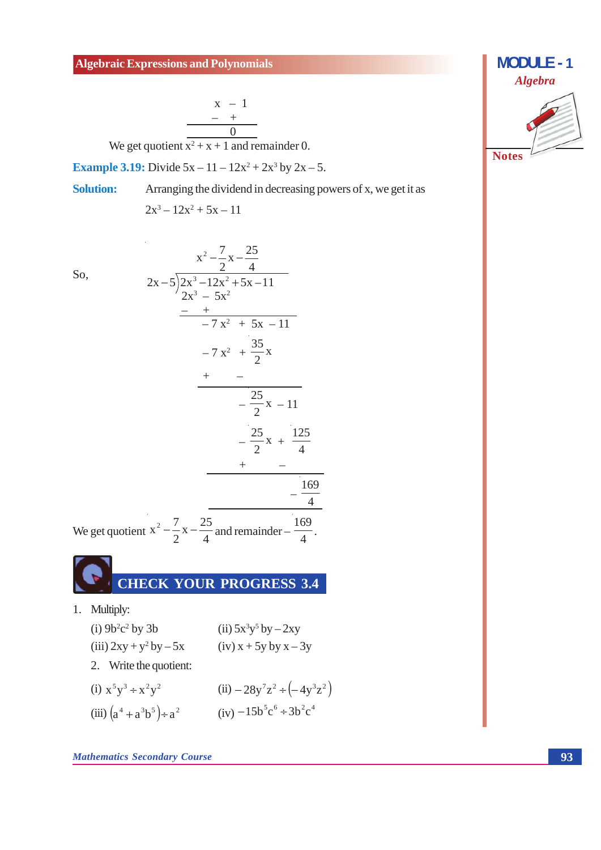$$
\begin{array}{c|cc}\n & x & -1 \\
\hline\n & - & + \\
\hline\n0 & & \n\end{array}
$$

We get quotient  $x^2 + x + 1$  and remainder 0.

 $\overline{z}$ 

**Example 3.19:** Divide  $5x - 11 - 12x^2 + 2x^3$  by  $2x - 5$ .

Arranging the dividend in decreasing powers of x, we get it as **Solution:** 

$$
2x^3 - 12x^2 + 5x - 11
$$

 $\ddot{\phantom{a}}$ 

 $\overline{S}$ 

So,  
\n
$$
2x-5\overline{\smash)2x^3-12x^2+5x-11}
$$
\n
$$
2x-5\overline{\smash)2x^3-12x^2+5x-11}
$$
\n
$$
-7x^2+5x-11
$$
\n
$$
-7x^2+\frac{35}{2}x
$$
\n
$$
+\frac{25}{2}x-11
$$
\n
$$
-\frac{25}{2}x+\frac{125}{4}
$$
\nWe get quotient  $x^2-\frac{7}{2}x-\frac{25}{4}$  and remainder  $-\frac{169}{4}$ .

#### **CHECK YOUR PROGRESS 3.4**

1. Multiply:

(i) 
$$
9b^2c^2
$$
 by 3b  
\n(ii)  $5x^3y^5$  by  $-2xy$   
\n(iii)  $2xy + y^2$  by  $-5x$   
\n(iv)  $x + 5y$  by  $x - 3y$   
\n2. Write the quotient:  
\n(i)  $x^5y^3 + x^2y^2$   
\n(ii)  $-28y^7z^2 \div (-4y^3z^2)$   
\n(iii)  $(a^4 + a^3b^5) \div a^2$   
\n(iv)  $-15b^5c^6 \div 3b^2c^4$ 

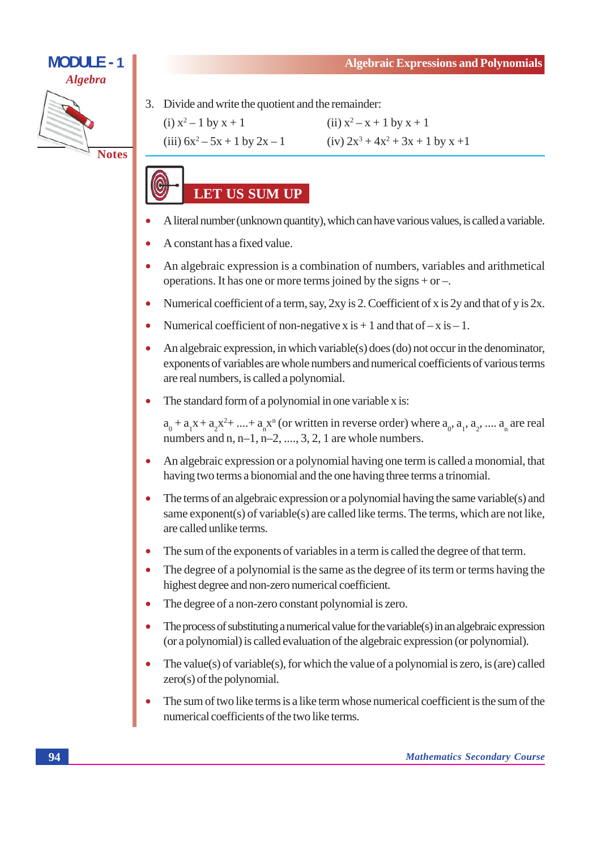

3. Divide and write the quotient and the remainder:

(i) 
$$
x^2 - 1
$$
 by  $x + 1$ 

(iii)  $6x^2 - 5x + 1$  by  $2x - 1$ 





- A literal number (unknown quantity), which can have various values, is called a variable.
- A constant has a fixed value.
- An algebraic expression is a combination of numbers, variables and arithmetical operations. It has one or more terms joined by the signs + or  $-$ .
- Numerical coefficient of a term, say, 2xy is 2. Coefficient of x is 2y and that of y is 2x.  $\bullet$
- Numerical coefficient of non-negative x is  $+1$  and that of  $-x$  is  $-1$ .  $\bullet$
- An algebraic expression, in which variable(s) does (do) not occur in the denominator,  $\bullet$ exponents of variables are whole numbers and numerical coefficients of various terms are real numbers, is called a polynomial.
- The standard form of a polynomial in one variable x is:  $\bullet$

 $a_0 + a_1x + a_2x^2 + \dots + a_nx^n$  (or written in reverse order) where  $a_0, a_1, a_2, \dots, a_n$  are real numbers and  $n, n-1, n-2, \ldots, 3, 2, 1$  are whole numbers.

- An algebraic expression or a polynomial having one term is called a monomial, that  $\bullet$ having two terms a bionomial and the one having three terms a trinomial.
- The terms of an algebraic expression or a polynomial having the same variable(s) and  $\bullet$ same exponent(s) of variable(s) are called like terms. The terms, which are not like, are called unlike terms.
- The sum of the exponents of variables in a term is called the degree of that term.  $\bullet$
- The degree of a polynomial is the same as the degree of its term or terms having the highest degree and non-zero numerical coefficient.
- The degree of a non-zero constant polynomial is zero.
- The process of substituting a numerical value for the variable( $s$ ) in an algebraic expression (or a polynomial) is called evaluation of the algebraic expression (or polynomial).
- The value(s) of variable(s), for which the value of a polynomial is zero, is (are) called  $zero(s)$  of the polynomial.
- The sum of two like terms is a like term whose numerical coefficient is the sum of the  $\bullet$ numerical coefficients of the two like terms.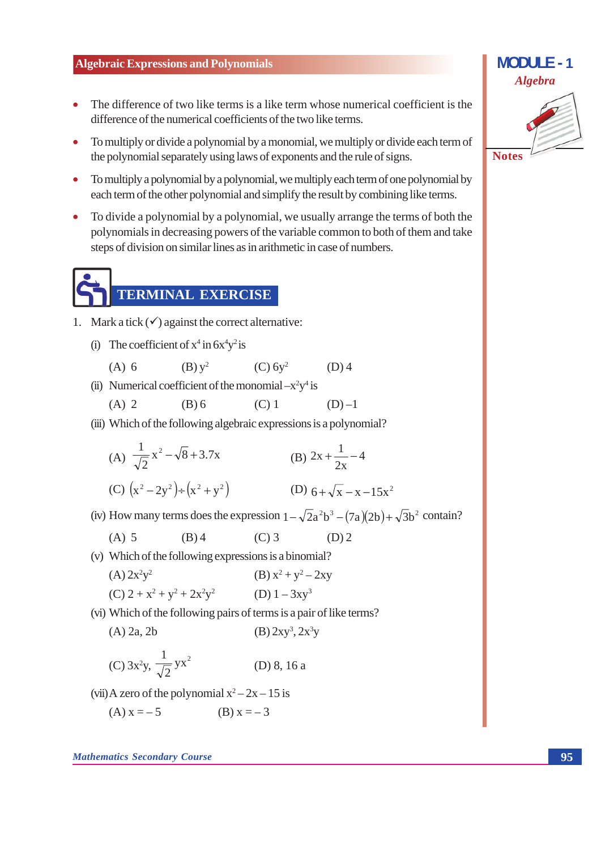- The difference of two like terms is a like term whose numerical coefficient is the difference of the numerical coefficients of the two like terms.
- To multiply or divide a polynomial by a monomial, we multiply or divide each term of  $\bullet$ the polynomial separately using laws of exponents and the rule of signs.
- To multiply a polynomial by a polynomial, we multiply each term of one polynomial by  $\bullet$ each term of the other polynomial and simplify the result by combining like terms.
- To divide a polynomial by a polynomial, we usually arrange the terms of both the polynomials in decreasing powers of the variable common to both of them and take steps of division on similar lines as in arithmetic in case of numbers.

### **TERMINAL EXERCISE**

- 1. Mark a tick  $(\checkmark)$  against the correct alternative:
	- (i) The coefficient of  $x^4$  in  $6x^4y^2$  is
		- $(B) y^2$  $(C)$  6y<sup>2</sup>  $(A)$  6  $(D)$ 4
	- (ii) Numerical coefficient of the monomial  $-x^2y^4$  is
		- $(C)$  1  $(A)$  2  $(B)$  6  $(D)$ -1
	- (iii) Which of the following algebraic expressions is a polynomial?

(A) 
$$
\frac{1}{\sqrt{2}} x^2 - \sqrt{8} + 3.7x
$$
  
\n(B)  $2x + \frac{1}{2x} - 4$   
\n(C)  $(x^2 - 2y^2) \div (x^2 + y^2)$   
\n(D)  $6 + \sqrt{x} - x - 15x^2$ 

(iv) How many terms does the expression  $1 - \sqrt{2}a^2b^3 - (7a)(2b) + \sqrt{3}b^2$  contain?

(v) Which of the following expressions is a binomial?

(A) 
$$
2x^2y^2
$$
  
\n(B)  $x^2 + y^2 - 2xy$   
\n(C)  $2 + x^2 + y^2 + 2x^2y^2$   
\n(D)  $1 - 3xy^3$ 

(vi) Which of the following pairs of terms is a pair of like terms?

 $(B) 2xy^3$ ,  $2x^3y$  $(A)$  2a, 2b

(C) 
$$
3x^2y
$$
,  $\frac{1}{\sqrt{2}}yx^2$  (D) 8, 16 a

(vii) A zero of the polynomial  $x^2 - 2x - 15$  is

(A) 
$$
x = -5
$$
 (B)  $x = -3$ 

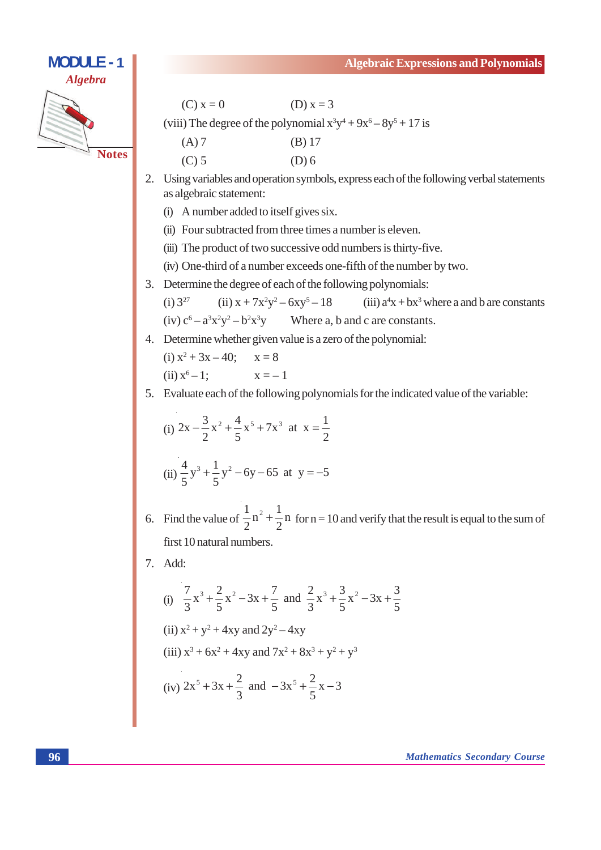## **MODULE - 1 Algebra Notes**

 $(C) x = 0$  $(D) x = 3$ 

(viii) The degree of the polynomial  $x^3y^4 + 9x^6 - 8y^5 + 17$  is

| $(A)$ 7 | $(B)$ 17 |
|---------|----------|
| $(C)$ 5 | $(D)$ 6  |

- 2. Using variables and operation symbols, express each of the following verbal statements as algebraic statement:
	- (i) A number added to itself gives six.
	- (ii) Four subtracted from three times a number is eleven.
	- (iii) The product of two successive odd numbers is thirty-five.
	- (iv) One-third of a number exceeds one-fifth of the number by two.
- 3. Determine the degree of each of the following polynomials:

 $(i) 3^{27}$ (ii)  $x + 7x^2y^2 - 6xy^5 - 18$ (iii)  $a^4x + bx^3$  where a and b are constants  $(iv) c^6 - a^3 x^2 y^2 - b^2 x^3 y$ Where a, b and c are constants.

4. Determine whether given value is a zero of the polynomial:

(i) 
$$
x^2 + 3x - 40
$$
;  $x = 8$   
(ii)  $x^6 - 1$ ;  $x = -1$ 

5. Evaluate each of the following polynomials for the indicated value of the variable:

(i) 
$$
2x - \frac{3}{2}x^2 + \frac{4}{5}x^5 + 7x^3
$$
 at  $x = \frac{1}{2}$   
(ii)  $\frac{4}{5}y^3 + \frac{1}{5}y^2 - 6y - 65$  at  $y = -5$ 

- 6. Find the value of  $\frac{1}{2}n^2 + \frac{1}{2}n$  for  $n = 10$  and verify that the result is equal to the sum of first 10 natural numbers.
- 7. Add:

(i) 
$$
\frac{7}{3}x^3 + \frac{2}{5}x^2 - 3x + \frac{7}{5}
$$
 and  $\frac{2}{3}x^3 + \frac{3}{5}x^2 - 3x + \frac{3}{5}$   
\n(ii)  $x^2 + y^2 + 4xy$  and  $2y^2 - 4xy$   
\n(iii)  $x^3 + 6x^2 + 4xy$  and  $7x^2 + 8x^3 + y^2 + y^3$   
\n(iv)  $2x^5 + 3x + \frac{2}{3}$  and  $-3x^5 + \frac{2}{5}x - 3$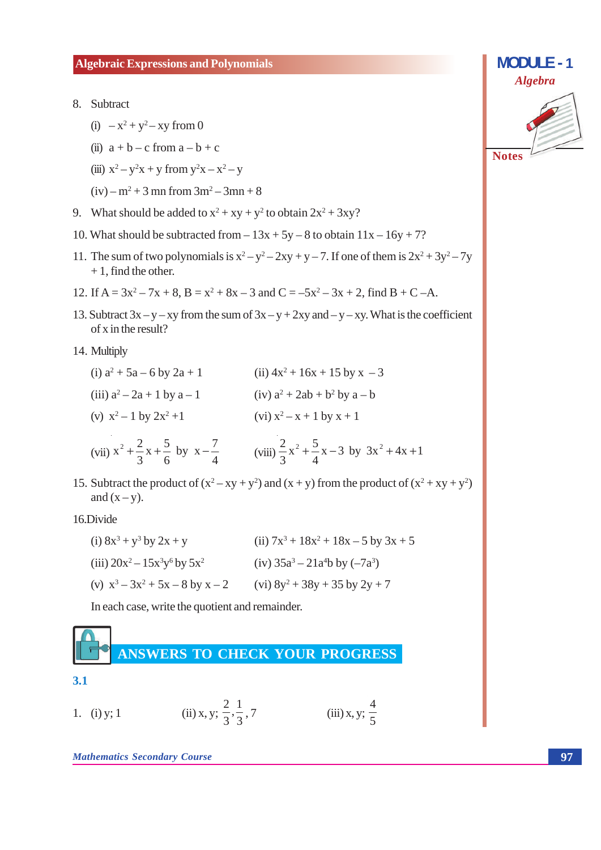- 8. Subtract
	- (i)  $-x^2 + y^2 xy$  from 0
	- (ii)  $a + b c$  from  $a b + c$
	- (iii)  $x^2 y^2x + y$  from  $y^2x x^2 y$
	- $(iv) m<sup>2</sup> + 3$  mn from  $3m<sup>2</sup> 3mn + 8$
- 9. What should be added to  $x^2 + xy + y^2$  to obtain  $2x^2 + 3xy$ ?
- 10. What should be subtracted from  $-13x + 5y 8$  to obtain  $11x 16y + 7$ ?
- 11. The sum of two polynomials is  $x^2 y^2 2xy + y 7$ . If one of them is  $2x^2 + 3y^2 7y$  $+1$ , find the other.
- 12. If  $A = 3x^2 7x + 8$ ,  $B = x^2 + 8x 3$  and  $C = -5x^2 3x + 2$ , find  $B + C A$ .
- 13. Subtract  $3x y xy$  from the sum of  $3x y + 2xy$  and  $-y xy$ . What is the coefficient of x in the result?
- 14. Multiply

| (vii) $x^2 + \frac{2}{3}x + \frac{5}{6}$ by $x - \frac{7}{4}$ | (viii) $\frac{2}{3}x^2 + \frac{5}{4}x - 3$ by $3x^2 + 4x + 1$ |
|---------------------------------------------------------------|---------------------------------------------------------------|
| (v) $x^2 - 1$ by $2x^2 + 1$                                   | (vi) $x^2 - x + 1$ by $x + 1$                                 |
| (iii) $a^2 - 2a + 1$ by $a - 1$                               | (iv) $a^2 + 2ab + b^2$ by $a - b$                             |
| (i) $a^2 + 5a - 6$ by $2a + 1$                                | (ii) $4x^2 + 16x + 15$ by $x - 3$                             |

15. Subtract the product of  $(x^2 - xy + y^2)$  and  $(x + y)$  from the product of  $(x^2 + xy + y^2)$ and  $(x - y)$ .

16.Divide

| (i) $8x^3 + y^3$ by $2x + y$         | (ii) $7x^3 + 18x^2 + 18x - 5$ by $3x + 5$ |
|--------------------------------------|-------------------------------------------|
| (iii) $20x^2 - 15x^3y^6$ by $5x^2$   | (iv) $35a^3 - 21a^4b$ by $(-7a^3)$        |
| (v) $x^3 - 3x^2 + 5x - 8$ by $x - 2$ | (vi) $8y^2 + 38y + 35$ by $2y + 7$        |

In each case, write the quotient and remainder.



**Mathematics Secondary Course** 

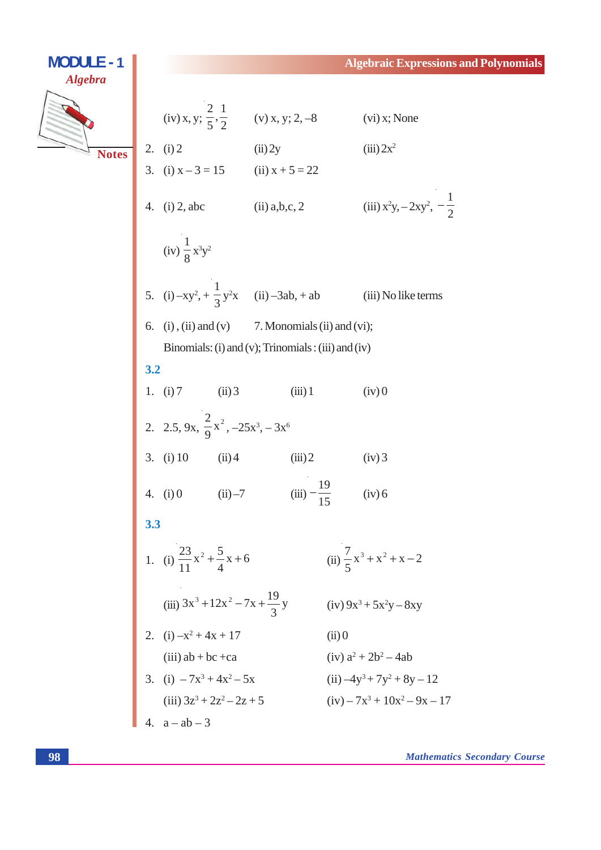### **MODULE - 1 Algebra** (iv) x, y;  $\frac{2}{5}, \frac{1}{2}$  (v) x, y; 2, -8  $(vi)$  x; None 2. (i) 2 (ii) 2y<br>3. (i)  $x - 3 = 15$  (ii)  $x + 5 = 22$  $(iii)$   $2x^2$ **Notes** 4. (i) 2, abc (ii) a,b,c, 2 (iii)  $x^2y, -2xy^2, -\frac{1}{2}$ (iv)  $\frac{1}{8}x^3y^2$ 5. (i)  $-xy^2 + \frac{1}{3}y^2x$  (ii)  $-3ab$ , + ab (iii) No like terms 6. (i), (ii) and (v) 7. Monomials (ii) and (vi); Binomials: (i) and (v); Trinomials: (iii) and (iv)  $3.2$ 1. (i) 7  $(ii)$  3  $(iii) 1$  $(iv) 0$ 2. 2.5, 9x,  $\frac{2}{9}x^2$ , -25x<sup>3</sup>, -3x<sup>6</sup> 3. (i) 10 (ii) 4 (iii) 2  $(iv)$  3 4. (i) 0 (ii) -7 (iii)  $-\frac{19}{15}$  (iv) 6 3.3 1. (i)  $\frac{23}{11}x^2 + \frac{5}{4}x + 6$  (ii)  $\frac{7}{5}x^3 + x^2 + x - 2$ (iii)  $3x^3 + 12x^2 - 7x + \frac{19}{3}y$  (iv)  $9x^3 + 5x^2y - 8xy$ 2. (i)  $-x^2 + 4x + 17$ <br>
(ii) 0<br>
(iii) ab + bc +ca<br>
3. (i)  $-7x^3 + 4x^2 - 5x$ <br>
(iii)  $3x^3 + 2x^2 - 2x + 5$ <br>
(iii)  $-7x^3 + 10x^2 - 9x - 17$ <br>
(iv)  $-7x^3 + 10x^2 - 9x - 17$ 4.  $a - ab - 3$